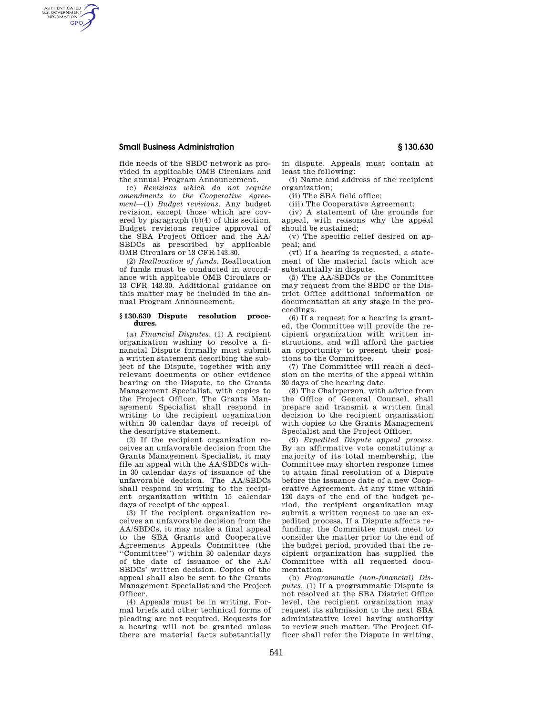## **Small Business Administration § 130.630**

AUTHENTICATED<br>U.S. GOVERNMENT<br>INFORMATION **GPO** 

> fide needs of the SBDC network as provided in applicable OMB Circulars and the annual Program Announcement.

(c) *Revisions which do not require amendments to the Cooperative Agreement*—(1) *Budget revisions.* Any budget revision, except those which are covered by paragraph (b)(4) of this section. Budget revisions require approval of the SBA Project Officer and the AA/ SBDCs as prescribed by applicable OMB Circulars or 13 CFR 143.30.

(2) *Reallocation of funds.* Reallocation of funds must be conducted in accordance with applicable OMB Circulars or 13 CFR 143.30. Additional guidance on this matter may be included in the annual Program Announcement.

## **§ 130.630 Dispute resolution procedures.**

(a) *Financial Disputes.* (1) A recipient organization wishing to resolve a financial Dispute formally must submit a written statement describing the subject of the Dispute, together with any relevant documents or other evidence bearing on the Dispute, to the Grants Management Specialist, with copies to the Project Officer. The Grants Management Specialist shall respond in writing to the recipient organization within 30 calendar days of receipt of the descriptive statement.

(2) If the recipient organization receives an unfavorable decision from the Grants Management Specialist, it may file an appeal with the AA/SBDCs within 30 calendar days of issuance of the unfavorable decision. The AA/SBDCs shall respond in writing to the recipient organization within 15 calendar days of receipt of the appeal.

(3) If the recipient organization receives an unfavorable decision from the AA/SBDCs, it may make a final appeal to the SBA Grants and Cooperative Agreements Appeals Committee (the ''Committee'') within 30 calendar days of the date of issuance of the AA/ SBDCs' written decision. Copies of the appeal shall also be sent to the Grants Management Specialist and the Project Officer.

(4) Appeals must be in writing. Formal briefs and other technical forms of pleading are not required. Requests for a hearing will not be granted unless there are material facts substantially

in dispute. Appeals must contain at least the following:

(i) Name and address of the recipient organization;

(ii) The SBA field office;

(iii) The Cooperative Agreement;

(iv) A statement of the grounds for appeal, with reasons why the appeal should be sustained;

(v) The specific relief desired on appeal; and

(vi) If a hearing is requested, a statement of the material facts which are substantially in dispute.

(5) The AA/SBDCs or the Committee may request from the SBDC or the District Office additional information or documentation at any stage in the proceedings.

(6) If a request for a hearing is granted, the Committee will provide the recipient organization with written instructions, and will afford the parties an opportunity to present their positions to the Committee.

(7) The Committee will reach a decision on the merits of the appeal within 30 days of the hearing date.

(8) The Chairperson, with advice from the Office of General Counsel, shall prepare and transmit a written final decision to the recipient organization with copies to the Grants Management Specialist and the Project Officer.

(9) *Expedited Dispute appeal process.*  By an affirmative vote constituting a majority of its total membership, the Committee may shorten response times to attain final resolution of a Dispute before the issuance date of a new Cooperative Agreement. At any time within 120 days of the end of the budget period, the recipient organization may submit a written request to use an expedited process. If a Dispute affects refunding, the Committee must meet to consider the matter prior to the end of the budget period, provided that the recipient organization has supplied the Committee with all requested documentation.

(b) *Programmatic (non-financial) Disputes.* (1) If a programmatic Dispute is not resolved at the SBA District Office level, the recipient organization may request its submission to the next SBA administrative level having authority to review such matter. The Project Officer shall refer the Dispute in writing,